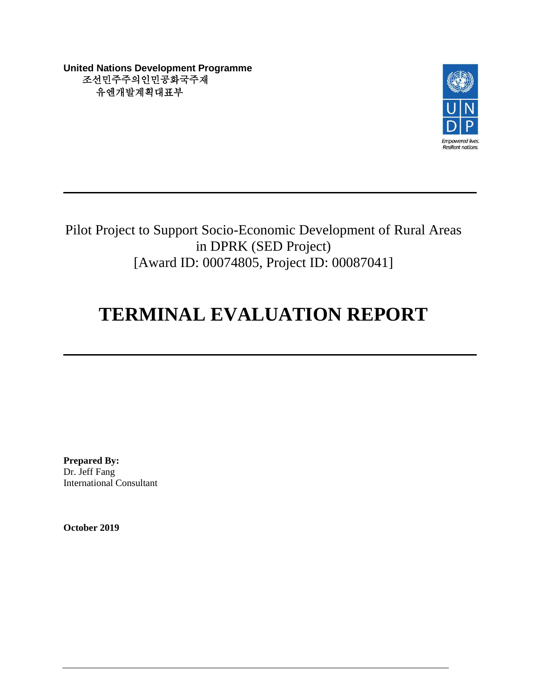**United Nations Development Programme** 조선민주주의인민공화국주재 유엔개발계획대표부



Pilot Project to Support Socio-Economic Development of Rural Areas in DPRK (SED Project) [Award ID: 00074805, Project ID: 00087041]

# **TERMINAL EVALUATION REPORT**

**Prepared By:** Dr. Jeff Fang International Consultant

**October 2019**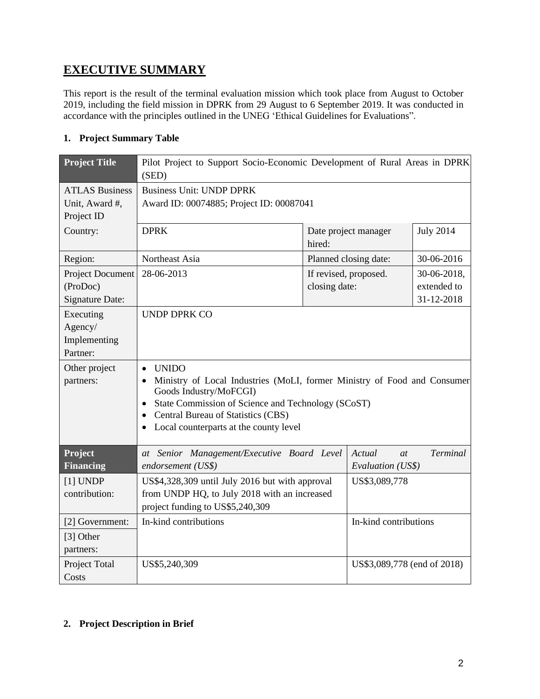## **EXECUTIVE SUMMARY**

This report is the result of the terminal evaluation mission which took place from August to October 2019, including the field mission in DPRK from 29 August to 6 September 2019. It was conducted in accordance with the principles outlined in the UNEG 'Ethical Guidelines for Evaluations".

## **1. Project Summary Table**

| <b>Project Title</b>                                          | Pilot Project to Support Socio-Economic Development of Rural Areas in DPRK<br>(SED)                                                                                                                                                                                                                                       |                                        |                             |                                          |  |
|---------------------------------------------------------------|---------------------------------------------------------------------------------------------------------------------------------------------------------------------------------------------------------------------------------------------------------------------------------------------------------------------------|----------------------------------------|-----------------------------|------------------------------------------|--|
| <b>ATLAS Business</b><br>Unit, Award #,<br>Project ID         | <b>Business Unit: UNDP DPRK</b><br>Award ID: 00074885; Project ID: 00087041                                                                                                                                                                                                                                               |                                        |                             |                                          |  |
| Country:                                                      | <b>DPRK</b>                                                                                                                                                                                                                                                                                                               | hired:                                 | Date project manager        | <b>July 2014</b>                         |  |
| Region:                                                       | Northeast Asia                                                                                                                                                                                                                                                                                                            |                                        | Planned closing date:       | 30-06-2016                               |  |
| <b>Project Document</b><br>(ProDoc)<br><b>Signature Date:</b> | 28-06-2013                                                                                                                                                                                                                                                                                                                | If revised, proposed.<br>closing date: |                             | 30-06-2018,<br>extended to<br>31-12-2018 |  |
| Executing<br>Agency/<br>Implementing<br>Partner:              | <b>UNDP DPRK CO</b>                                                                                                                                                                                                                                                                                                       |                                        |                             |                                          |  |
| Other project<br>partners:                                    | <b>UNIDO</b><br>$\bullet$<br>Ministry of Local Industries (MoLI, former Ministry of Food and Consumer<br>$\bullet$<br>Goods Industry/MoFCGI)<br>State Commission of Science and Technology (SCoST)<br>$\bullet$<br>Central Bureau of Statistics (CBS)<br>$\bullet$<br>Local counterparts at the county level<br>$\bullet$ |                                        |                             |                                          |  |
| Project<br><b>Financing</b>                                   | at Senior Management/Executive Board Level<br>endorsement (US\$)                                                                                                                                                                                                                                                          | Actual<br>at<br>Evaluation (US\$)      | <b>Terminal</b>             |                                          |  |
| $[1]$ UNDP<br>contribution:                                   | US\$4,328,309 until July 2016 but with approval<br>from UNDP HQ, to July 2018 with an increased<br>project funding to US\$5,240,309                                                                                                                                                                                       |                                        | US\$3,089,778               |                                          |  |
| [2] Government:<br>[3] Other<br>partners:                     | In-kind contributions                                                                                                                                                                                                                                                                                                     |                                        | In-kind contributions       |                                          |  |
| Project Total<br>Costs                                        | US\$5,240,309                                                                                                                                                                                                                                                                                                             |                                        | US\$3,089,778 (end of 2018) |                                          |  |

## **2. Project Description in Brief**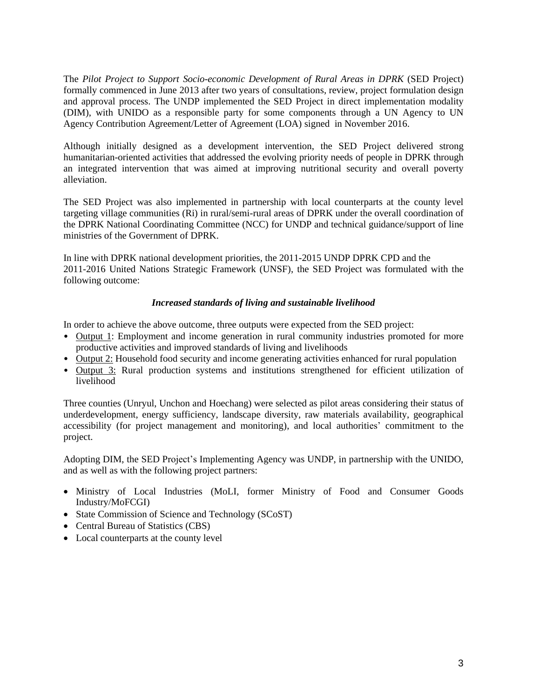The *Pilot Project to Support Socio-economic Development of Rural Areas in DPRK* (SED Project) formally commenced in June 2013 after two years of consultations, review, project formulation design and approval process. The UNDP implemented the SED Project in direct implementation modality (DIM), with UNIDO as a responsible party for some components through a UN Agency to UN Agency Contribution Agreement/Letter of Agreement (LOA) signed in November 2016.

Although initially designed as a development intervention, the SED Project delivered strong humanitarian-oriented activities that addressed the evolving priority needs of people in DPRK through an integrated intervention that was aimed at improving nutritional security and overall poverty alleviation.

The SED Project was also implemented in partnership with local counterparts at the county level targeting village communities (Ri) in rural/semi-rural areas of DPRK under the overall coordination of the DPRK National Coordinating Committee (NCC) for UNDP and technical guidance/support of line ministries of the Government of DPRK.

In line with DPRK national development priorities, the 2011-2015 UNDP DPRK CPD and the 2011-2016 United Nations Strategic Framework (UNSF), the SED Project was formulated with the following outcome:

#### *Increased standards of living and sustainable livelihood*

In order to achieve the above outcome, three outputs were expected from the SED project:

- Output 1: Employment and income generation in rural community industries promoted for more productive activities and improved standards of living and livelihoods
- Output 2: Household food security and income generating activities enhanced for rural population
- Output 3: Rural production systems and institutions strengthened for efficient utilization of livelihood

Three counties (Unryul, Unchon and Hoechang) were selected as pilot areas considering their status of underdevelopment, energy sufficiency, landscape diversity, raw materials availability, geographical accessibility (for project management and monitoring), and local authorities' commitment to the project.

Adopting DIM, the SED Project's Implementing Agency was UNDP, in partnership with the UNIDO, and as well as with the following project partners:

- Ministry of Local Industries (MoLI, former Ministry of Food and Consumer Goods Industry/MoFCGI)
- State Commission of Science and Technology (SCoST)
- Central Bureau of Statistics (CBS)
- Local counterparts at the county level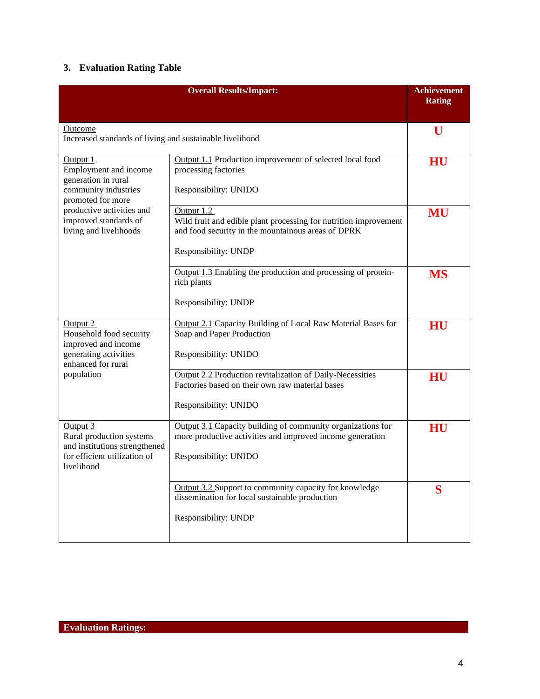## **3. Evaluation Rating Table**

|                                                                                                                     | <b>Overall Results/Impact:</b>                                                                                                                               | <b>Achievement</b><br><b>Rating</b> |
|---------------------------------------------------------------------------------------------------------------------|--------------------------------------------------------------------------------------------------------------------------------------------------------------|-------------------------------------|
| Outcome<br>Increased standards of living and sustainable livelihood                                                 |                                                                                                                                                              |                                     |
| Output 1<br>Employment and income<br>generation in rural<br>community industries<br>promoted for more               | Output 1.1 Production improvement of selected local food<br>processing factories<br>Responsibility: UNIDO                                                    | HU                                  |
| productive activities and<br>improved standards of<br>living and livelihoods                                        | Output 1.2<br>Wild fruit and edible plant processing for nutrition improvement<br>and food security in the mountainous areas of DPRK<br>Responsibility: UNDP | MU                                  |
|                                                                                                                     | Output 1.3 Enabling the production and processing of protein-<br>rich plants<br>Responsibility: UNDP                                                         | <b>MS</b>                           |
| Output 2<br>Household food security<br>improved and income<br>generating activities<br>enhanced for rural           | Output 2.1 Capacity Building of Local Raw Material Bases for<br>Soap and Paper Production<br>Responsibility: UNIDO                                           | HU                                  |
| population                                                                                                          | <b>Output 2.2 Production revitalization of Daily-Necessities</b><br>Factories based on their own raw material bases<br>Responsibility: UNIDO                 | HU                                  |
| Output 3<br>Rural production systems<br>and institutions strengthened<br>for efficient utilization of<br>livelihood | Output 3.1 Capacity building of community organizations for<br>more productive activities and improved income generation<br>Responsibility: UNIDO            | HU                                  |
|                                                                                                                     | Output 3.2 Support to community capacity for knowledge<br>dissemination for local sustainable production<br>Responsibility: UNDP                             | S                                   |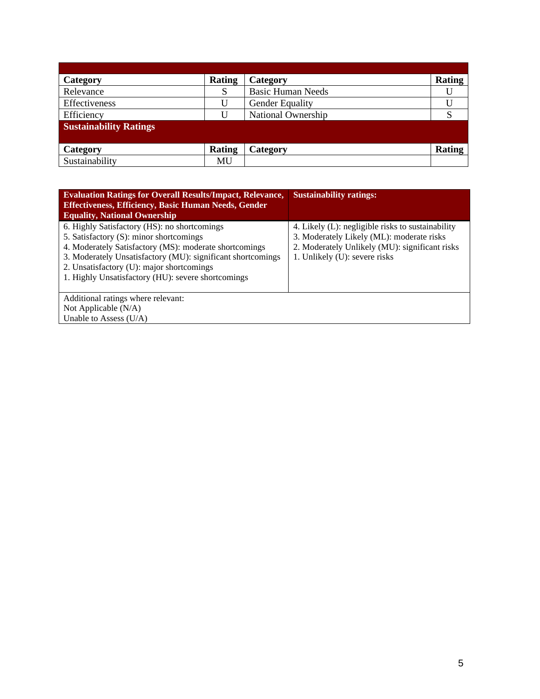| Category                      | Rating | Category                 | <b>Rating</b> |  |
|-------------------------------|--------|--------------------------|---------------|--|
| Relevance                     | S      | <b>Basic Human Needs</b> |               |  |
| Effectiveness                 |        | <b>Gender Equality</b>   |               |  |
| Efficiency                    | Ħ      | National Ownership       | $\mathbf C$   |  |
| <b>Sustainability Ratings</b> |        |                          |               |  |
|                               |        |                          |               |  |
| Category                      | Rating | Category                 | <b>Rating</b> |  |
| Sustainability                | MU     |                          |               |  |

| <b>Evaluation Ratings for Overall Results/Impact, Relevance,</b><br><b>Effectiveness, Efficiency, Basic Human Needs, Gender</b><br><b>Equality, National Ownership</b>                                                                                                                                              | <b>Sustainability ratings:</b>                                                                                                                                                    |
|---------------------------------------------------------------------------------------------------------------------------------------------------------------------------------------------------------------------------------------------------------------------------------------------------------------------|-----------------------------------------------------------------------------------------------------------------------------------------------------------------------------------|
| 6. Highly Satisfactory (HS): no shortcomings<br>5. Satisfactory (S): minor shortcomings<br>4. Moderately Satisfactory (MS): moderate shortcomings<br>3. Moderately Unsatisfactory (MU): significant shortcomings<br>2. Unsatisfactory (U): major shortcomings<br>1. Highly Unsatisfactory (HU): severe shortcomings | 4. Likely (L): negligible risks to sustainability<br>3. Moderately Likely (ML): moderate risks<br>2. Moderately Unlikely (MU): significant risks<br>1. Unlikely (U): severe risks |
| Additional ratings where relevant:<br>Not Applicable (N/A)<br>Unable to Assess (U/A)                                                                                                                                                                                                                                |                                                                                                                                                                                   |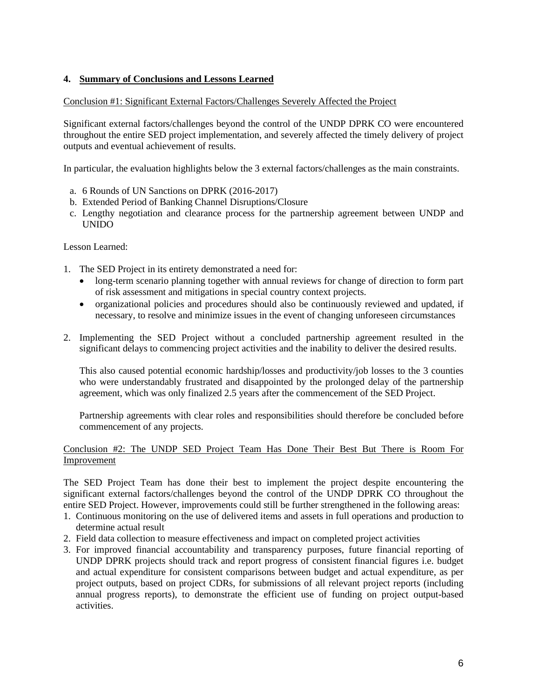#### **4. Summary of Conclusions and Lessons Learned**

#### Conclusion #1: Significant External Factors/Challenges Severely Affected the Project

Significant external factors/challenges beyond the control of the UNDP DPRK CO were encountered throughout the entire SED project implementation, and severely affected the timely delivery of project outputs and eventual achievement of results.

In particular, the evaluation highlights below the 3 external factors/challenges as the main constraints.

- a. 6 Rounds of UN Sanctions on DPRK (2016-2017)
- b. Extended Period of Banking Channel Disruptions/Closure
- c. Lengthy negotiation and clearance process for the partnership agreement between UNDP and UNIDO

Lesson Learned:

- 1. The SED Project in its entirety demonstrated a need for:
	- long-term scenario planning together with annual reviews for change of direction to form part of risk assessment and mitigations in special country context projects.
	- organizational policies and procedures should also be continuously reviewed and updated, if necessary, to resolve and minimize issues in the event of changing unforeseen circumstances
- 2. Implementing the SED Project without a concluded partnership agreement resulted in the significant delays to commencing project activities and the inability to deliver the desired results.

This also caused potential economic hardship/losses and productivity/job losses to the 3 counties who were understandably frustrated and disappointed by the prolonged delay of the partnership agreement, which was only finalized 2.5 years after the commencement of the SED Project.

Partnership agreements with clear roles and responsibilities should therefore be concluded before commencement of any projects.

#### Conclusion #2: The UNDP SED Project Team Has Done Their Best But There is Room For Improvement

The SED Project Team has done their best to implement the project despite encountering the significant external factors/challenges beyond the control of the UNDP DPRK CO throughout the entire SED Project. However, improvements could still be further strengthened in the following areas:

- 1. Continuous monitoring on the use of delivered items and assets in full operations and production to determine actual result
- 2. Field data collection to measure effectiveness and impact on completed project activities
- 3. For improved financial accountability and transparency purposes, future financial reporting of UNDP DPRK projects should track and report progress of consistent financial figures i.e. budget and actual expenditure for consistent comparisons between budget and actual expenditure, as per project outputs, based on project CDRs, for submissions of all relevant project reports (including annual progress reports), to demonstrate the efficient use of funding on project output-based activities.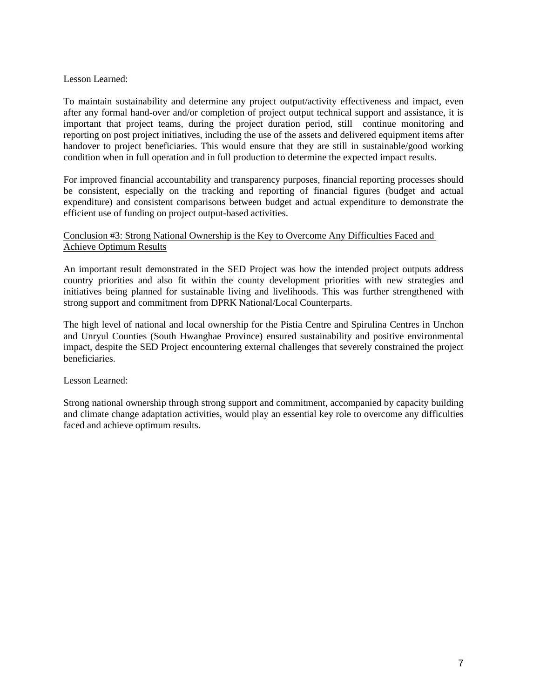#### Lesson Learned:

To maintain sustainability and determine any project output/activity effectiveness and impact, even after any formal hand-over and/or completion of project output technical support and assistance, it is important that project teams, during the project duration period, still continue monitoring and reporting on post project initiatives, including the use of the assets and delivered equipment items after handover to project beneficiaries. This would ensure that they are still in sustainable/good working condition when in full operation and in full production to determine the expected impact results.

For improved financial accountability and transparency purposes, financial reporting processes should be consistent, especially on the tracking and reporting of financial figures (budget and actual expenditure) and consistent comparisons between budget and actual expenditure to demonstrate the efficient use of funding on project output-based activities.

#### Conclusion #3: Strong National Ownership is the Key to Overcome Any Difficulties Faced and Achieve Optimum Results

An important result demonstrated in the SED Project was how the intended project outputs address country priorities and also fit within the county development priorities with new strategies and initiatives being planned for sustainable living and livelihoods. This was further strengthened with strong support and commitment from DPRK National/Local Counterparts.

The high level of national and local ownership for the Pistia Centre and Spirulina Centres in Unchon and Unryul Counties (South Hwanghae Province) ensured sustainability and positive environmental impact, despite the SED Project encountering external challenges that severely constrained the project beneficiaries.

#### Lesson Learned:

Strong national ownership through strong support and commitment, accompanied by capacity building and climate change adaptation activities, would play an essential key role to overcome any difficulties faced and achieve optimum results.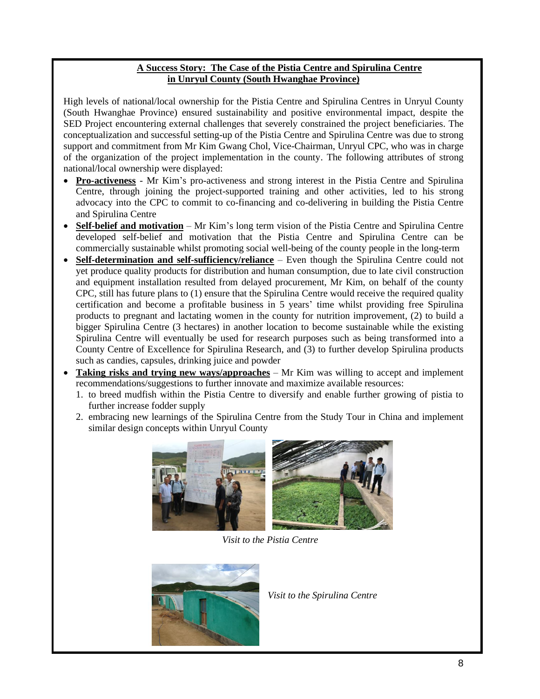#### **A Success Story: The Case of the Pistia Centre and Spirulina Centre in Unryul County (South Hwanghae Province)**

High levels of national/local ownership for the Pistia Centre and Spirulina Centres in Unryul County (South Hwanghae Province) ensured sustainability and positive environmental impact, despite the SED Project encountering external challenges that severely constrained the project beneficiaries. The conceptualization and successful setting-up of the Pistia Centre and Spirulina Centre was due to strong support and commitment from Mr Kim Gwang Chol, Vice-Chairman, Unryul CPC, who was in charge of the organization of the project implementation in the county. The following attributes of strong national/local ownership were displayed:

- **Pro-activeness** Mr Kim's pro-activeness and strong interest in the Pistia Centre and Spirulina Centre, through joining the project-supported training and other activities, led to his strong advocacy into the CPC to commit to co-financing and co-delivering in building the Pistia Centre and Spirulina Centre
- **Self-belief and motivation** Mr Kim's long term vision of the Pistia Centre and Spirulina Centre developed self-belief and motivation that the Pistia Centre and Spirulina Centre can be commercially sustainable whilst promoting social well-being of the county people in the long-term
- **Self-determination and self-sufficiency/reliance** Even though the Spirulina Centre could not yet produce quality products for distribution and human consumption, due to late civil construction and equipment installation resulted from delayed procurement, Mr Kim, on behalf of the county CPC, still has future plans to (1) ensure that the Spirulina Centre would receive the required quality certification and become a profitable business in 5 years' time whilst providing free Spirulina products to pregnant and lactating women in the county for nutrition improvement, (2) to build a bigger Spirulina Centre (3 hectares) in another location to become sustainable while the existing Spirulina Centre will eventually be used for research purposes such as being transformed into a County Centre of Excellence for Spirulina Research, and (3) to further develop Spirulina products such as candies, capsules, drinking juice and powder
- Taking risks and trying new ways/approaches Mr Kim was willing to accept and implement recommendations/suggestions to further innovate and maximize available resources:
	- 1. to breed mudfish within the Pistia Centre to diversify and enable further growing of pistia to further increase fodder supply
	- 2. embracing new learnings of the Spirulina Centre from the Study Tour in China and implement similar design concepts within Unryul County





*Visit to the Pistia Centre*



*Visit to the Spirulina Centre*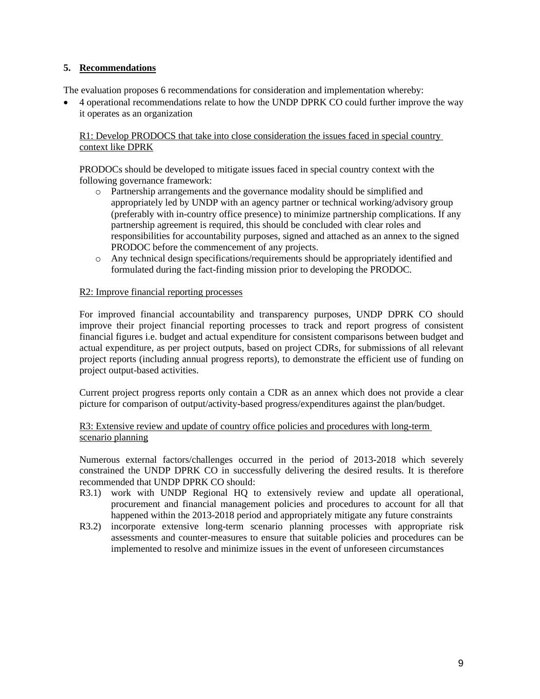#### **5. Recommendations**

The evaluation proposes 6 recommendations for consideration and implementation whereby:

• 4 operational recommendations relate to how the UNDP DPRK CO could further improve the way it operates as an organization

R1: Develop PRODOCS that take into close consideration the issues faced in special country context like DPRK

PRODOCs should be developed to mitigate issues faced in special country context with the following governance framework:

- o Partnership arrangements and the governance modality should be simplified and appropriately led by UNDP with an agency partner or technical working/advisory group (preferably with in-country office presence) to minimize partnership complications. If any partnership agreement is required, this should be concluded with clear roles and responsibilities for accountability purposes, signed and attached as an annex to the signed PRODOC before the commencement of any projects.
- o Any technical design specifications/requirements should be appropriately identified and formulated during the fact-finding mission prior to developing the PRODOC.

#### R2: Improve financial reporting processes

For improved financial accountability and transparency purposes, UNDP DPRK CO should improve their project financial reporting processes to track and report progress of consistent financial figures i.e. budget and actual expenditure for consistent comparisons between budget and actual expenditure, as per project outputs, based on project CDRs, for submissions of all relevant project reports (including annual progress reports), to demonstrate the efficient use of funding on project output-based activities.

Current project progress reports only contain a CDR as an annex which does not provide a clear picture for comparison of output/activity-based progress/expenditures against the plan/budget.

#### R3: Extensive review and update of country office policies and procedures with long-term scenario planning

Numerous external factors/challenges occurred in the period of 2013-2018 which severely constrained the UNDP DPRK CO in successfully delivering the desired results. It is therefore recommended that UNDP DPRK CO should:

- R3.1) work with UNDP Regional HQ to extensively review and update all operational, procurement and financial management policies and procedures to account for all that happened within the 2013-2018 period and appropriately mitigate any future constraints
- R3.2) incorporate extensive long-term scenario planning processes with appropriate risk assessments and counter-measures to ensure that suitable policies and procedures can be implemented to resolve and minimize issues in the event of unforeseen circumstances